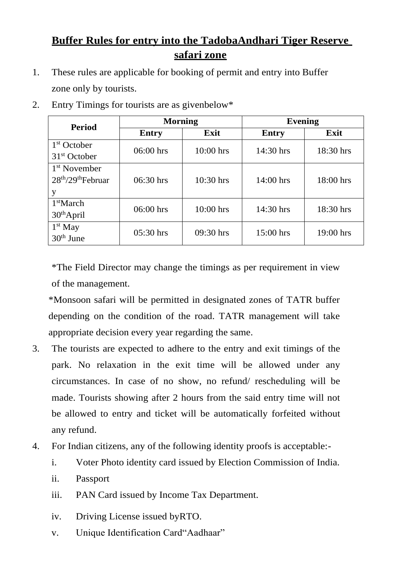## **Buffer Rules for entry into the TadobaAndhari Tiger Reserve safari zone**

1. These rules are applicable for booking of permit and entry into Buffer zone only by tourists.

| <b>Period</b>            | <b>Morning</b> |             | <b>Evening</b> |             |
|--------------------------|----------------|-------------|----------------|-------------|
|                          | <b>Entry</b>   | Exit        | Entry          | Exit        |
| 1 <sup>st</sup> October  | $06:00$ hrs    | $10:00$ hrs | 14:30 hrs      | 18:30 hrs   |
| 31 <sup>st</sup> October |                |             |                |             |
| 1 <sup>st</sup> November |                |             |                |             |
| $28th/29th$ Februar      | $06:30$ hrs    | $10:30$ hrs | $14:00$ hrs    | $18:00$ hrs |
| у                        |                |             |                |             |
| 1 <sup>st</sup> March    | $06:00$ hrs    | $10:00$ hrs | 14:30 hrs      | 18:30 hrs   |
| $30th$ April             |                |             |                |             |
| $1st$ May                | $05:30$ hrs    | $09:30$ hrs | $15:00$ hrs    | 19:00 hrs   |
| $30th$ June              |                |             |                |             |

2. Entry Timings for tourists are as givenbelow\*

\*The Field Director may change the timings as per requirement in view of the management.

\*Monsoon safari will be permitted in designated zones of TATR buffer depending on the condition of the road. TATR management will take appropriate decision every year regarding the same.

- 3. The tourists are expected to adhere to the entry and exit timings of the park. No relaxation in the exit time will be allowed under any circumstances. In case of no show, no refund/ rescheduling will be made. Tourists showing after 2 hours from the said entry time will not be allowed to entry and ticket will be automatically forfeited without any refund.
- 4. For Indian citizens, any of the following identity proofs is acceptable:
	- i. Voter Photo identity card issued by Election Commission of India.
	- ii. Passport
	- iii. PAN Card issued by Income Tax Department.
	- iv. Driving License issued byRTO.
	- v. Unique Identification Card"Aadhaar"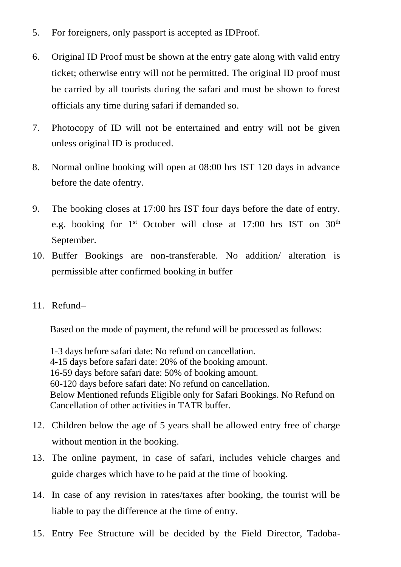- 5. For foreigners, only passport is accepted as IDProof.
- 6. Original ID Proof must be shown at the entry gate along with valid entry ticket; otherwise entry will not be permitted. The original ID proof must be carried by all tourists during the safari and must be shown to forest officials any time during safari if demanded so.
- 7. Photocopy of ID will not be entertained and entry will not be given unless original ID is produced.
- 8. Normal online booking will open at 08:00 hrs IST 120 days in advance before the date ofentry.
- 9. The booking closes at 17:00 hrs IST four days before the date of entry. e.g. booking for  $1<sup>st</sup>$  October will close at 17:00 hrs IST on  $30<sup>th</sup>$ September.
- 10. Buffer Bookings are non-transferable. No addition/ alteration is permissible after confirmed booking in buffer
- 11. Refund–

Based on the mode of payment, the refund will be processed as follows:

 1-3 days before safari date: No refund on cancellation. 4-15 days before safari date: 20% of the booking amount. 16-59 days before safari date: 50% of booking amount. 60-120 days before safari date: No refund on cancellation. Below Mentioned refunds Eligible only for Safari Bookings. No Refund on Cancellation of other activities in TATR buffer.

- 12. Children below the age of 5 years shall be allowed entry free of charge without mention in the booking.
- 13. The online payment, in case of safari, includes vehicle charges and guide charges which have to be paid at the time of booking.
- 14. In case of any revision in rates/taxes after booking, the tourist will be liable to pay the difference at the time of entry.
- 15. Entry Fee Structure will be decided by the Field Director, Tadoba-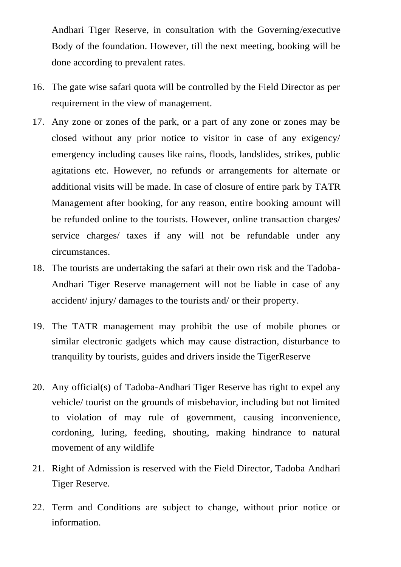Andhari Tiger Reserve, in consultation with the Governing/executive Body of the foundation. However, till the next meeting, booking will be done according to prevalent rates.

- 16. The gate wise safari quota will be controlled by the Field Director as per requirement in the view of management.
- 17. Any zone or zones of the park, or a part of any zone or zones may be closed without any prior notice to visitor in case of any exigency/ emergency including causes like rains, floods, landslides, strikes, public agitations etc. However, no refunds or arrangements for alternate or additional visits will be made. In case of closure of entire park by TATR Management after booking, for any reason, entire booking amount will be refunded online to the tourists. However, online transaction charges/ service charges/ taxes if any will not be refundable under any circumstances.
- 18. The tourists are undertaking the safari at their own risk and the Tadoba-Andhari Tiger Reserve management will not be liable in case of any accident/ injury/ damages to the tourists and/ or their property.
- 19. The TATR management may prohibit the use of mobile phones or similar electronic gadgets which may cause distraction, disturbance to tranquility by tourists, guides and drivers inside the TigerReserve
- 20. Any official(s) of Tadoba-Andhari Tiger Reserve has right to expel any vehicle/ tourist on the grounds of misbehavior, including but not limited to violation of may rule of government, causing inconvenience, cordoning, luring, feeding, shouting, making hindrance to natural movement of any wildlife
- 21. Right of Admission is reserved with the Field Director, Tadoba Andhari Tiger Reserve.
- 22. Term and Conditions are subject to change, without prior notice or information.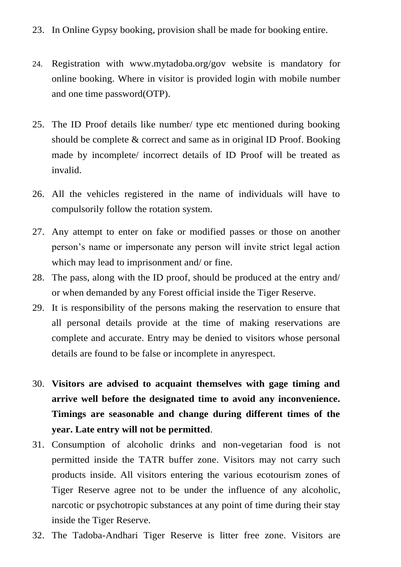- 23. In Online Gypsy booking, provision shall be made for booking entire.
- 24. Registration with [www.mytadoba.org/gov](http://www.mytadoba.org/gov) website is mandatory for online booking. Where in visitor is provided login with mobile number and one time password(OTP).
- 25. The ID Proof details like number/ type etc mentioned during booking should be complete & correct and same as in original ID Proof. Booking made by incomplete/ incorrect details of ID Proof will be treated as invalid.
- 26. All the vehicles registered in the name of individuals will have to compulsorily follow the rotation system.
- 27. Any attempt to enter on fake or modified passes or those on another person's name or impersonate any person will invite strict legal action which may lead to imprisonment and/ or fine.
- 28. The pass, along with the ID proof, should be produced at the entry and/ or when demanded by any Forest official inside the Tiger Reserve.
- 29. It is responsibility of the persons making the reservation to ensure that all personal details provide at the time of making reservations are complete and accurate. Entry may be denied to visitors whose personal details are found to be false or incomplete in anyrespect.
- 30. **Visitors are advised to acquaint themselves with gage timing and arrive well before the designated time to avoid any inconvenience. Timings are seasonable and change during different times of the year. Late entry will not be permitted**.
- 31. Consumption of alcoholic drinks and non-vegetarian food is not permitted inside the TATR buffer zone. Visitors may not carry such products inside. All visitors entering the various ecotourism zones of Tiger Reserve agree not to be under the influence of any alcoholic, narcotic or psychotropic substances at any point of time during their stay inside the Tiger Reserve.
- 32. The Tadoba-Andhari Tiger Reserve is litter free zone. Visitors are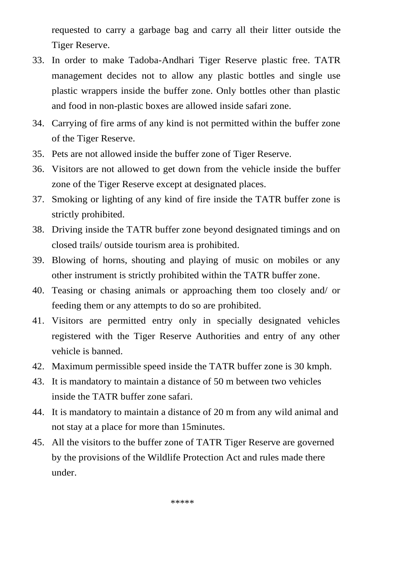requested to carry a garbage bag and carry all their litter outside the Tiger Reserve.

- 33. In order to make Tadoba-Andhari Tiger Reserve plastic free. TATR management decides not to allow any plastic bottles and single use plastic wrappers inside the buffer zone. Only bottles other than plastic and food in non-plastic boxes are allowed inside safari zone.
- 34. Carrying of fire arms of any kind is not permitted within the buffer zone of the Tiger Reserve.
- 35. Pets are not allowed inside the buffer zone of Tiger Reserve.
- 36. Visitors are not allowed to get down from the vehicle inside the buffer zone of the Tiger Reserve except at designated places.
- 37. Smoking or lighting of any kind of fire inside the TATR buffer zone is strictly prohibited.
- 38. Driving inside the TATR buffer zone beyond designated timings and on closed trails/ outside tourism area is prohibited.
- 39. Blowing of horns, shouting and playing of music on mobiles or any other instrument is strictly prohibited within the TATR buffer zone.
- 40. Teasing or chasing animals or approaching them too closely and/ or feeding them or any attempts to do so are prohibited.
- 41. Visitors are permitted entry only in specially designated vehicles registered with the Tiger Reserve Authorities and entry of any other vehicle is banned.
- 42. Maximum permissible speed inside the TATR buffer zone is 30 kmph.
- 43. It is mandatory to maintain a distance of 50 m between two vehicles inside the TATR buffer zone safari.
- 44. It is mandatory to maintain a distance of 20 m from any wild animal and not stay at a place for more than 15minutes.
- 45. All the visitors to the buffer zone of TATR Tiger Reserve are governed by the provisions of the Wildlife Protection Act and rules made there under.